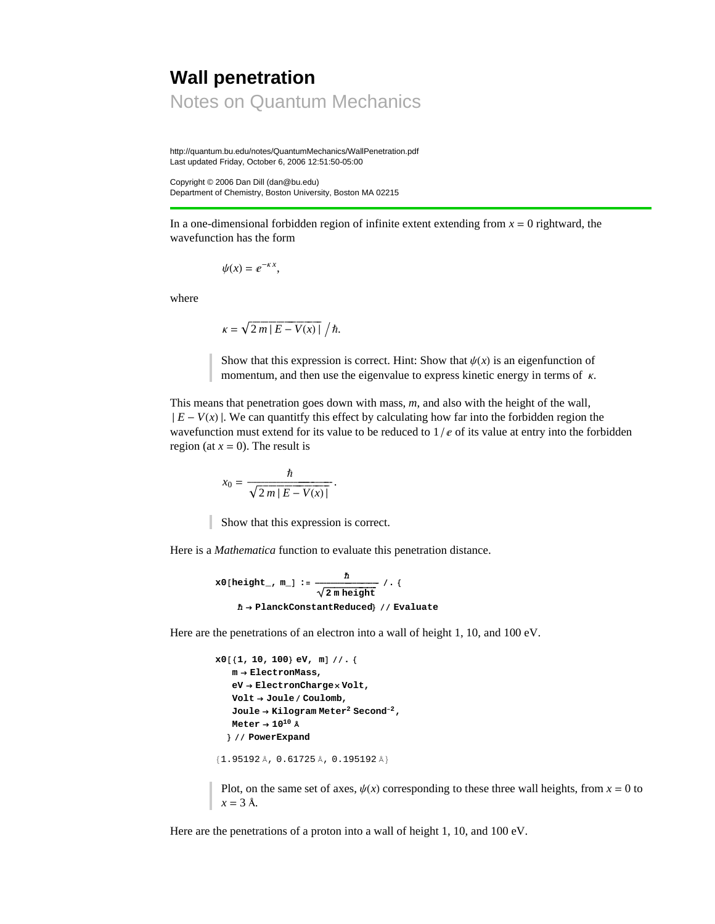## **Wall penetration** Notes on Quantum Mechanics

http://quantum.bu.edu/notes/QuantumMechanics/WallPenetration.pdf Last updated Friday, October 6, 2006 12:51:50-05:00

Copyright © 2006 Dan Dill (dan@bu.edu) Department of Chemistry, Boston University, Boston MA 02215

In a one-dimensional forbidden region of infinite extent extending from  $x = 0$  rightward, the wavefunction has the form

$$
\psi(x)=e^{-\kappa x},
$$

where

$$
\kappa = \sqrt{2 m |E - V(x)|} / \hbar.
$$

Show that this expression is correct. Hint: Show that  $\psi(x)$  is an eigenfunction of momentum, and then use the eigenvalue to express kinetic energy in terms of  $\kappa$ .

This means that penetration goes down with mass, *m*, and also with the height of the wall,  $|E-V(x)|$ . We can quantitfy this effect by calculating how far into the forbidden region the wavefunction must extend for its value to be reduced to  $1/e$  of its value at entry into the forbidden region (at  $x = 0$ ). The result is

$$
x_0 = \frac{\hbar}{\sqrt{2\,m\,|\,E - V(x)|}}.
$$

Show that this expression is correct.

Here is a *Mathematica* function to evaluate this penetration distance.

$$
x0[\text{height}_r, m_]: = \frac{\hbar}{\sqrt{2 \text{ m height}}} / . \{
$$
  

$$
\hbar \rightarrow \text{PlanckConstantReduced} / / \text{ Evaluate}
$$

Here are the penetrations of an electron into a wall of height 1, 10, and 100 eV.

```
x0<sup>[</sup>{1, 10, 100} eV, m] //. {
   m → ElectronMass,
   eV → ElectronCharge× Volt,
   Volt → Jouleê Coulomb,
   Joule → Kilogram Meter2 Second−2,
   Meter → 1010 fi
  < êê PowerExpand
{1.95192 \text{ Å}}, 0.61725 Å, 0.195192 Å}
```
 $x = 3$  Å.

Plot, on the same set of axes,  $\psi(x)$  corresponding to these three wall heights, from  $x = 0$  to

Here are the penetrations of a proton into a wall of height 1, 10, and 100 eV.